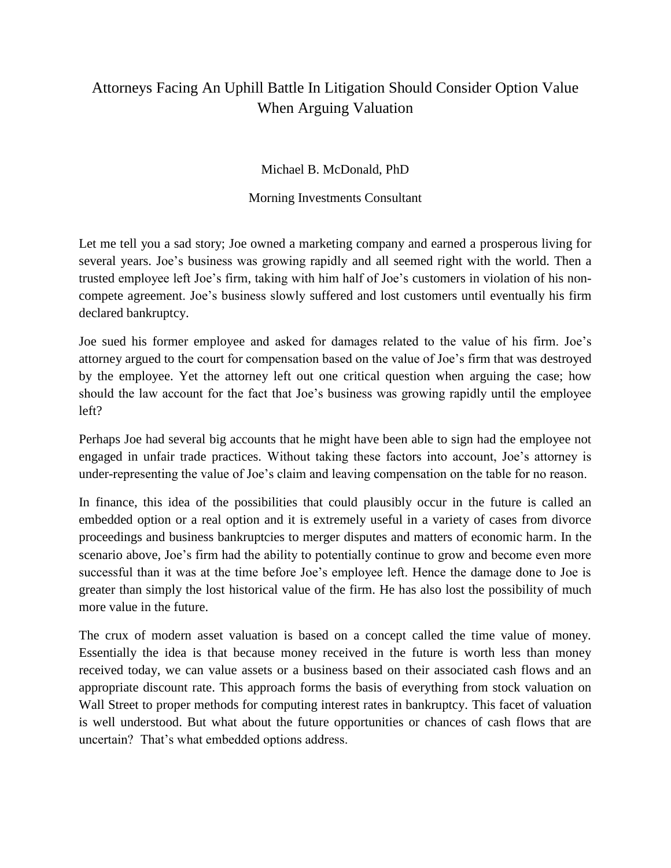## Attorneys Facing An Uphill Battle In Litigation Should Consider Option Value When Arguing Valuation

Michael B. McDonald, PhD

Morning Investments Consultant

Let me tell you a sad story; Joe owned a marketing company and earned a prosperous living for several years. Joe's business was growing rapidly and all seemed right with the world. Then a trusted employee left Joe's firm, taking with him half of Joe's customers in violation of his noncompete agreement. Joe's business slowly suffered and lost customers until eventually his firm declared bankruptcy.

Joe sued his former employee and asked for damages related to the value of his firm. Joe's attorney argued to the court for compensation based on the value of Joe's firm that was destroyed by the employee. Yet the attorney left out one critical question when arguing the case; how should the law account for the fact that Joe's business was growing rapidly until the employee left?

Perhaps Joe had several big accounts that he might have been able to sign had the employee not engaged in unfair trade practices. Without taking these factors into account, Joe's attorney is under-representing the value of Joe's claim and leaving compensation on the table for no reason.

In finance, this idea of the possibilities that could plausibly occur in the future is called an embedded option or a real option and it is extremely useful in a variety of cases from divorce proceedings and business bankruptcies to merger disputes and matters of economic harm. In the scenario above, Joe's firm had the ability to potentially continue to grow and become even more successful than it was at the time before Joe's employee left. Hence the damage done to Joe is greater than simply the lost historical value of the firm. He has also lost the possibility of much more value in the future.

The crux of modern asset valuation is based on a concept called the time value of money. Essentially the idea is that because money received in the future is worth less than money received today, we can value assets or a business based on their associated cash flows and an appropriate discount rate. This approach forms the basis of everything from stock valuation on Wall Street to proper methods for computing interest rates in bankruptcy. This facet of valuation is well understood. But what about the future opportunities or chances of cash flows that are uncertain? That's what embedded options address.